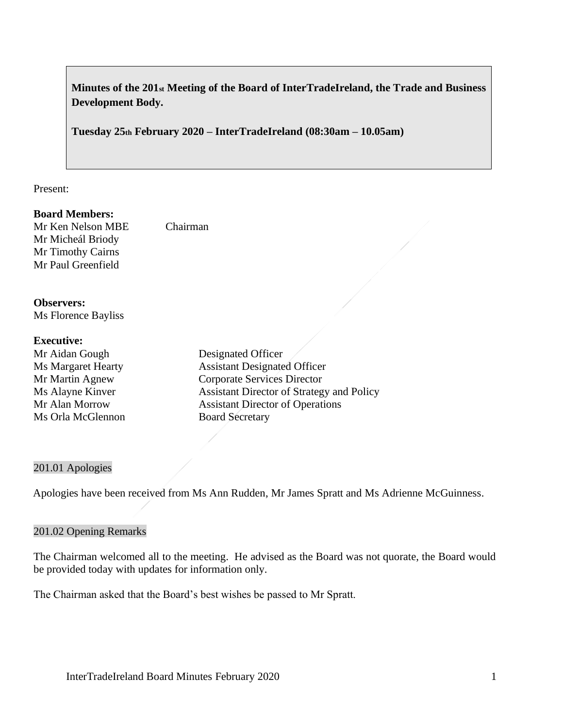# **Minutes of the 201st Meeting of the Board of InterTradeIreland, the Trade and Business Development Body.**

**Tuesday 25th February 2020 – InterTradeIreland (08:30am – 10.05am)**

Present:

#### **Board Members:**

Mr Ken Nelson MBE Chairman Mr Micheál Briody Mr Timothy Cairns Mr Paul Greenfield

**Observers:** Ms Florence Bayliss

#### **Executive:**

Mr Aidan Gough Designated Officer Ms Orla McGlennon Board Secretary

Ms Margaret Hearty **Assistant Designated Officer** Mr Martin Agnew Corporate Services Director Ms Alayne Kinver Assistant Director of Strategy and Policy Mr Alan Morrow Assistant Director of Operations

#### 201.01 Apologies

Apologies have been received from Ms Ann Rudden, Mr James Spratt and Ms Adrienne McGuinness.

#### 201.02 Opening Remarks

The Chairman welcomed all to the meeting. He advised as the Board was not quorate, the Board would be provided today with updates for information only.

The Chairman asked that the Board's best wishes be passed to Mr Spratt.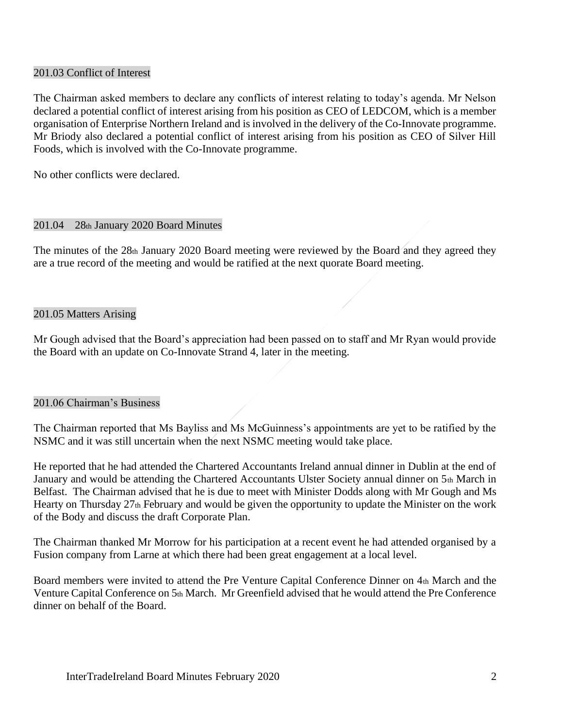### 201.03 Conflict of Interest

The Chairman asked members to declare any conflicts of interest relating to today's agenda. Mr Nelson declared a potential conflict of interest arising from his position as CEO of LEDCOM, which is a member organisation of Enterprise Northern Ireland and is involved in the delivery of the Co-Innovate programme. Mr Briody also declared a potential conflict of interest arising from his position as CEO of Silver Hill Foods, which is involved with the Co-Innovate programme.

No other conflicts were declared.

#### 201.04 28th January 2020 Board Minutes

The minutes of the 28th January 2020 Board meeting were reviewed by the Board and they agreed they are a true record of the meeting and would be ratified at the next quorate Board meeting.

#### 201.05 Matters Arising

Mr Gough advised that the Board's appreciation had been passed on to staff and Mr Ryan would provide the Board with an update on Co-Innovate Strand 4, later in the meeting.

#### 201.06 Chairman's Business

The Chairman reported that Ms Bayliss and Ms McGuinness's appointments are yet to be ratified by the NSMC and it was still uncertain when the next NSMC meeting would take place.

He reported that he had attended the Chartered Accountants Ireland annual dinner in Dublin at the end of January and would be attending the Chartered Accountants Ulster Society annual dinner on 5th March in Belfast. The Chairman advised that he is due to meet with Minister Dodds along with Mr Gough and Ms Hearty on Thursday 27th February and would be given the opportunity to update the Minister on the work of the Body and discuss the draft Corporate Plan.

The Chairman thanked Mr Morrow for his participation at a recent event he had attended organised by a Fusion company from Larne at which there had been great engagement at a local level.

Board members were invited to attend the Pre Venture Capital Conference Dinner on 4th March and the Venture Capital Conference on 5th March. Mr Greenfield advised that he would attend the Pre Conference dinner on behalf of the Board.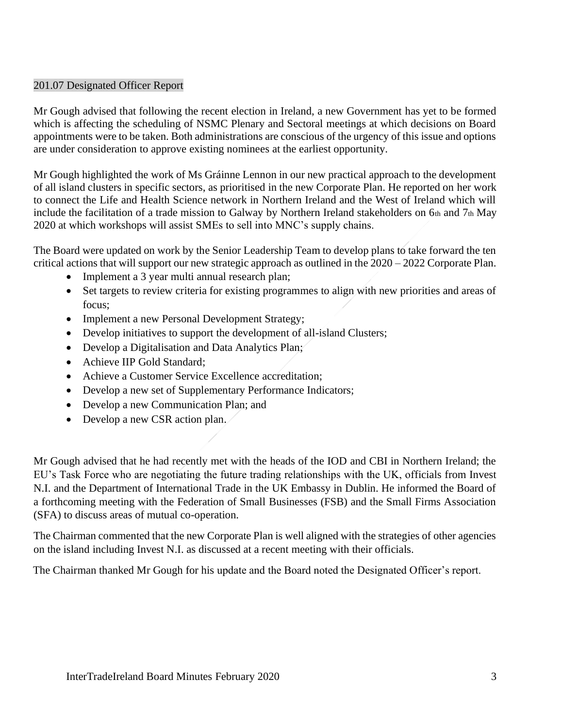### 201.07 Designated Officer Report

Mr Gough advised that following the recent election in Ireland, a new Government has yet to be formed which is affecting the scheduling of NSMC Plenary and Sectoral meetings at which decisions on Board appointments were to be taken. Both administrations are conscious of the urgency of this issue and options are under consideration to approve existing nominees at the earliest opportunity.

Mr Gough highlighted the work of Ms Gráinne Lennon in our new practical approach to the development of all island clusters in specific sectors, as prioritised in the new Corporate Plan. He reported on her work to connect the Life and Health Science network in Northern Ireland and the West of Ireland which will include the facilitation of a trade mission to Galway by Northern Ireland stakeholders on 6th and 7th May 2020 at which workshops will assist SMEs to sell into MNC's supply chains.

The Board were updated on work by the Senior Leadership Team to develop plans to take forward the ten critical actions that will support our new strategic approach as outlined in the 2020 – 2022 Corporate Plan.

- Implement a 3 year multi annual research plan;
- Set targets to review criteria for existing programmes to align with new priorities and areas of focus;
- Implement a new Personal Development Strategy;
- Develop initiatives to support the development of all-island Clusters;
- Develop a Digitalisation and Data Analytics Plan;
- Achieve IIP Gold Standard:
- Achieve a Customer Service Excellence accreditation:
- Develop a new set of Supplementary Performance Indicators;
- Develop a new Communication Plan; and
- Develop a new CSR action plan.

Mr Gough advised that he had recently met with the heads of the IOD and CBI in Northern Ireland; the EU's Task Force who are negotiating the future trading relationships with the UK, officials from Invest N.I. and the Department of International Trade in the UK Embassy in Dublin. He informed the Board of a forthcoming meeting with the Federation of Small Businesses (FSB) and the Small Firms Association (SFA) to discuss areas of mutual co-operation.

The Chairman commented that the new Corporate Plan is well aligned with the strategies of other agencies on the island including Invest N.I. as discussed at a recent meeting with their officials.

The Chairman thanked Mr Gough for his update and the Board noted the Designated Officer's report.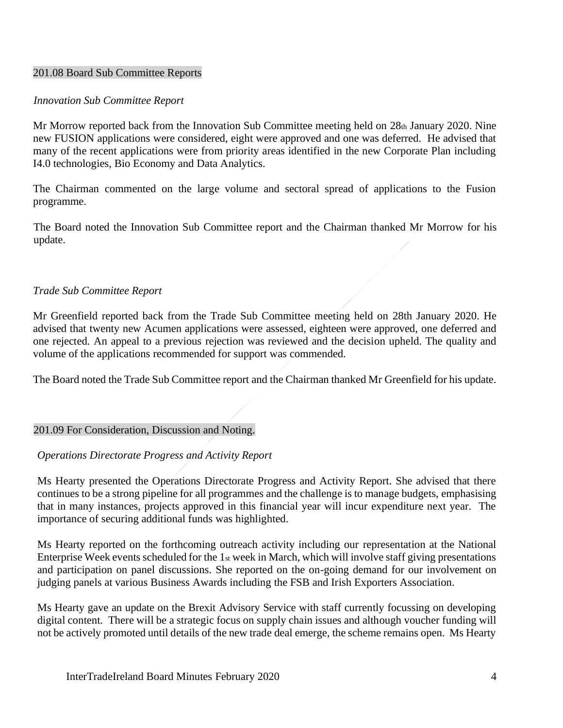### 201.08 Board Sub Committee Reports

#### *Innovation Sub Committee Report*

Mr Morrow reported back from the Innovation Sub Committee meeting held on 28th January 2020. Nine new FUSION applications were considered, eight were approved and one was deferred. He advised that many of the recent applications were from priority areas identified in the new Corporate Plan including I4.0 technologies, Bio Economy and Data Analytics.

The Chairman commented on the large volume and sectoral spread of applications to the Fusion programme.

The Board noted the Innovation Sub Committee report and the Chairman thanked Mr Morrow for his update.

#### *Trade Sub Committee Report*

Mr Greenfield reported back from the Trade Sub Committee meeting held on 28th January 2020. He advised that twenty new Acumen applications were assessed, eighteen were approved, one deferred and one rejected. An appeal to a previous rejection was reviewed and the decision upheld. The quality and volume of the applications recommended for support was commended.

The Board noted the Trade Sub Committee report and the Chairman thanked Mr Greenfield for his update.

#### 201.09 For Consideration, Discussion and Noting.

#### *Operations Directorate Progress and Activity Report*

Ms Hearty presented the Operations Directorate Progress and Activity Report. She advised that there continues to be a strong pipeline for all programmes and the challenge is to manage budgets, emphasising that in many instances, projects approved in this financial year will incur expenditure next year. The importance of securing additional funds was highlighted.

Ms Hearty reported on the forthcoming outreach activity including our representation at the National Enterprise Week events scheduled for the 1st week in March, which will involve staff giving presentations and participation on panel discussions. She reported on the on-going demand for our involvement on judging panels at various Business Awards including the FSB and Irish Exporters Association.

Ms Hearty gave an update on the Brexit Advisory Service with staff currently focussing on developing digital content. There will be a strategic focus on supply chain issues and although voucher funding will not be actively promoted until details of the new trade deal emerge, the scheme remains open. Ms Hearty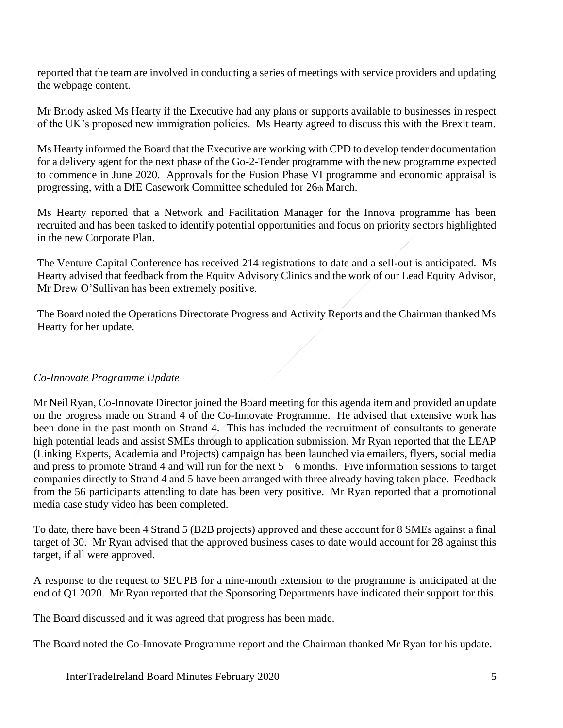reported that the team are involved in conducting a series of meetings with service providers and updating the webpage content.

Mr Briody asked Ms Hearty if the Executive had any plans or supports available to businesses in respect of the UK's proposed new immigration policies. Ms Hearty agreed to discuss this with the Brexit team.

Ms Hearty informed the Board that the Executive are working with CPD to develop tender documentation for a delivery agent for the next phase of the Go-2-Tender programme with the new programme expected to commence in June 2020. Approvals for the Fusion Phase VI programme and economic appraisal is progressing, with a DfE Casework Committee scheduled for 26th March.

Ms Hearty reported that a Network and Facilitation Manager for the Innova programme has been recruited and has been tasked to identify potential opportunities and focus on priority sectors highlighted in the new Corporate Plan.

The Venture Capital Conference has received 214 registrations to date and a sell-out is anticipated. Ms Hearty advised that feedback from the Equity Advisory Clinics and the work of our Lead Equity Advisor, Mr Drew O'Sullivan has been extremely positive.

The Board noted the Operations Directorate Progress and Activity Reports and the Chairman thanked Ms Hearty for her update.

# *Co-Innovate Programme Update*

Mr Neil Ryan, Co-Innovate Director joined the Board meeting for this agenda item and provided an update on the progress made on Strand 4 of the Co-Innovate Programme. He advised that extensive work has been done in the past month on Strand 4. This has included the recruitment of consultants to generate high potential leads and assist SMEs through to application submission. Mr Ryan reported that the LEAP (Linking Experts, Academia and Projects) campaign has been launched via emailers, flyers, social media and press to promote Strand 4 and will run for the next  $5 - 6$  months. Five information sessions to target companies directly to Strand 4 and 5 have been arranged with three already having taken place. Feedback from the 56 participants attending to date has been very positive. Mr Ryan reported that a promotional media case study video has been completed.

To date, there have been 4 Strand 5 (B2B projects) approved and these account for 8 SMEs against a final target of 30. Mr Ryan advised that the approved business cases to date would account for 28 against this target, if all were approved.

A response to the request to SEUPB for a nine-month extension to the programme is anticipated at the end of Q1 2020. Mr Ryan reported that the Sponsoring Departments have indicated their support for this.

The Board discussed and it was agreed that progress has been made.

The Board noted the Co-Innovate Programme report and the Chairman thanked Mr Ryan for his update.

InterTradeIreland Board Minutes February 2020 5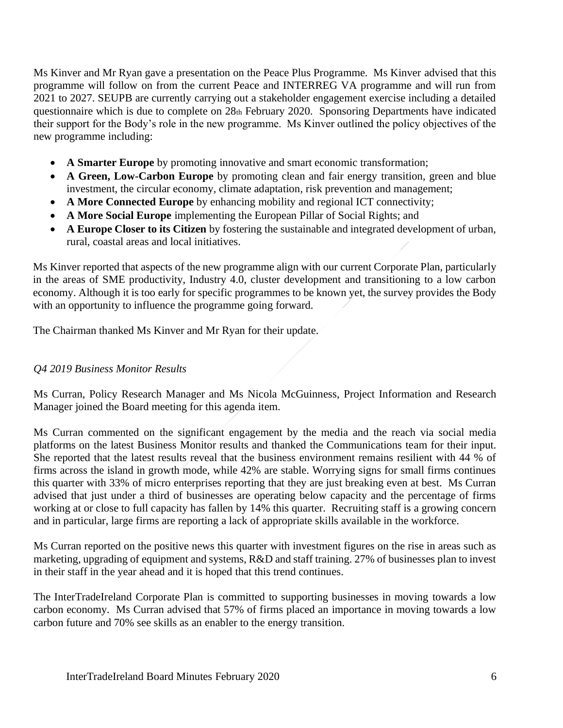Ms Kinver and Mr Ryan gave a presentation on the Peace Plus Programme. Ms Kinver advised that this programme will follow on from the current Peace and INTERREG VA programme and will run from 2021 to 2027. SEUPB are currently carrying out a stakeholder engagement exercise including a detailed questionnaire which is due to complete on 28th February 2020. Sponsoring Departments have indicated their support for the Body's role in the new programme. Ms Kinver outlined the policy objectives of the new programme including:

- **A Smarter Europe** by promoting innovative and smart economic transformation;
- **A Green, Low-Carbon Europe** by promoting clean and fair energy transition, green and blue investment, the circular economy, climate adaptation, risk prevention and management;
- **A More Connected Europe** by enhancing mobility and regional ICT connectivity;
- **A More Social Europe** implementing the European Pillar of Social Rights; and
- **A Europe Closer to its Citizen** by fostering the sustainable and integrated development of urban, rural, coastal areas and local initiatives.

Ms Kinver reported that aspects of the new programme align with our current Corporate Plan, particularly in the areas of SME productivity, Industry 4.0, cluster development and transitioning to a low carbon economy. Although it is too early for specific programmes to be known yet, the survey provides the Body with an opportunity to influence the programme going forward.

The Chairman thanked Ms Kinver and Mr Ryan for their update.

# *Q4 2019 Business Monitor Results*

Ms Curran, Policy Research Manager and Ms Nicola McGuinness, Project Information and Research Manager joined the Board meeting for this agenda item.

Ms Curran commented on the significant engagement by the media and the reach via social media platforms on the latest Business Monitor results and thanked the Communications team for their input. She reported that the latest results reveal that the business environment remains resilient with 44 % of firms across the island in growth mode, while 42% are stable. Worrying signs for small firms continues this quarter with 33% of micro enterprises reporting that they are just breaking even at best. Ms Curran advised that just under a third of businesses are operating below capacity and the percentage of firms working at or close to full capacity has fallen by 14% this quarter. Recruiting staff is a growing concern and in particular, large firms are reporting a lack of appropriate skills available in the workforce.

Ms Curran reported on the positive news this quarter with investment figures on the rise in areas such as marketing, upgrading of equipment and systems, R&D and staff training. 27% of businesses plan to invest in their staff in the year ahead and it is hoped that this trend continues.

The InterTradeIreland Corporate Plan is committed to supporting businesses in moving towards a low carbon economy. Ms Curran advised that 57% of firms placed an importance in moving towards a low carbon future and 70% see skills as an enabler to the energy transition.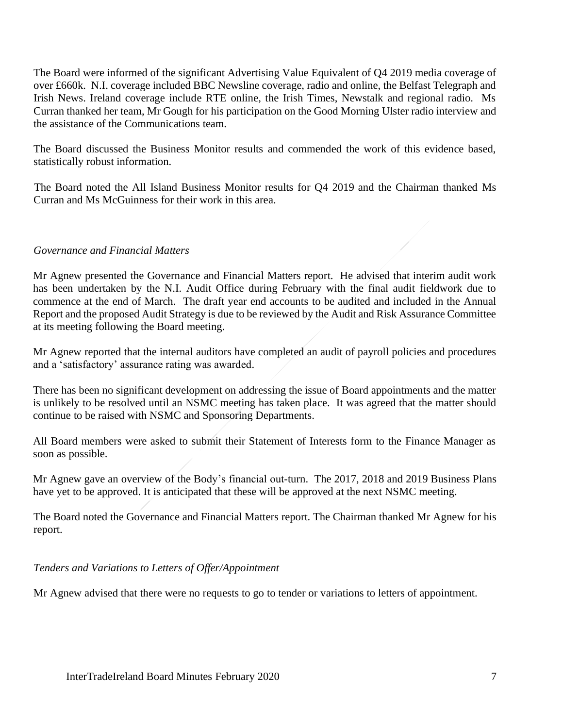The Board were informed of the significant Advertising Value Equivalent of Q4 2019 media coverage of over £660k. N.I. coverage included BBC Newsline coverage, radio and online, the Belfast Telegraph and Irish News. Ireland coverage include RTE online, the Irish Times, Newstalk and regional radio. Ms Curran thanked her team, Mr Gough for his participation on the Good Morning Ulster radio interview and the assistance of the Communications team.

The Board discussed the Business Monitor results and commended the work of this evidence based, statistically robust information.

The Board noted the All Island Business Monitor results for Q4 2019 and the Chairman thanked Ms Curran and Ms McGuinness for their work in this area.

### *Governance and Financial Matters*

Mr Agnew presented the Governance and Financial Matters report. He advised that interim audit work has been undertaken by the N.I. Audit Office during February with the final audit fieldwork due to commence at the end of March. The draft year end accounts to be audited and included in the Annual Report and the proposed Audit Strategy is due to be reviewed by the Audit and Risk Assurance Committee at its meeting following the Board meeting.

Mr Agnew reported that the internal auditors have completed an audit of payroll policies and procedures and a 'satisfactory' assurance rating was awarded.

There has been no significant development on addressing the issue of Board appointments and the matter is unlikely to be resolved until an NSMC meeting has taken place. It was agreed that the matter should continue to be raised with NSMC and Sponsoring Departments.

All Board members were asked to submit their Statement of Interests form to the Finance Manager as soon as possible.

Mr Agnew gave an overview of the Body's financial out-turn. The 2017, 2018 and 2019 Business Plans have yet to be approved. It is anticipated that these will be approved at the next NSMC meeting.

The Board noted the Governance and Financial Matters report. The Chairman thanked Mr Agnew for his report.

*Tenders and Variations to Letters of Offer/Appointment*

Mr Agnew advised that there were no requests to go to tender or variations to letters of appointment.